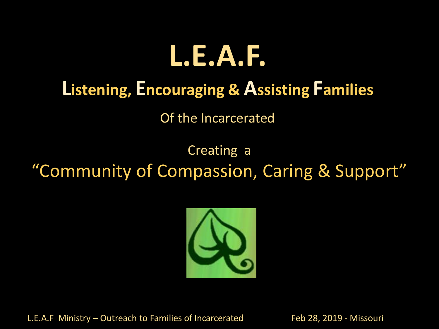

### **Listening, Encouraging & Assisting Families**

Of the Incarcerated

Creating a "Community of Compassion, Caring & Support"



L.E.A.F Ministry – Outreach to Families of Incarcerated Feb 28, 2019 - Missouri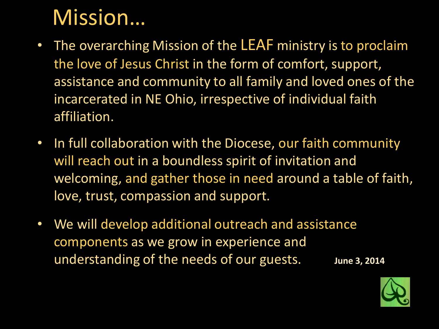### Mission…

- The overarching Mission of the LEAF ministry is to proclaim the love of Jesus Christ in the form of comfort, support, assistance and community to all family and loved ones of the incarcerated in NE Ohio, irrespective of individual faith affiliation.
- In full collaboration with the Diocese, our faith community will reach out in a boundless spirit of invitation and welcoming, and gather those in need around a table of faith, love, trust, compassion and support.
- We will develop additional outreach and assistance components as we grow in experience and understanding of the needs of our guests. **June 3, 2014**

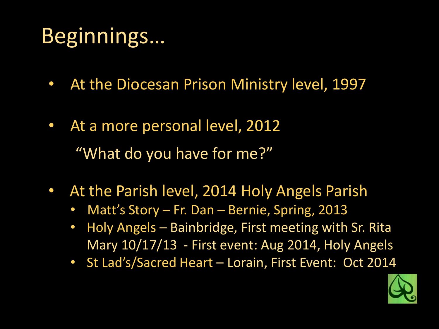## Beginnings…

- At the Diocesan Prison Ministry level, 1997
- At a more personal level, 2012 "What do you have for me?"
- At the Parish level, 2014 Holy Angels Parish
	- Matt's Story Fr. Dan Bernie, Spring, 2013
	- Holy Angels Bainbridge, First meeting with Sr. Rita Mary 10/17/13 - First event: Aug 2014, Holy Angels
	- St Lad's/Sacred Heart Lorain, First Event: Oct 2014

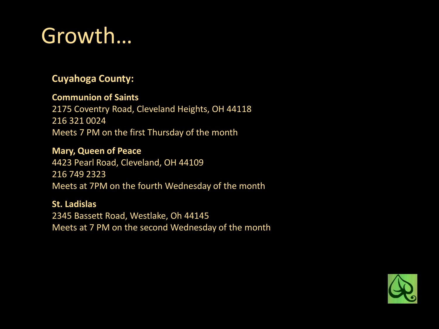## Growth…

#### **Cuyahoga County:**

#### **Communion of Saints**

2175 Coventry Road, Cleveland Heights, OH 44118 216 321 0024 Meets 7 PM on the first Thursday of the month

#### **Mary, Queen of Peace**

4423 Pearl Road, Cleveland, OH 44109 216 749 2323 Meets at 7PM on the fourth Wednesday of the month

#### **St. Ladislas**

2345 Bassett Road, Westlake, Oh 44145 Meets at 7 PM on the second Wednesday of the month

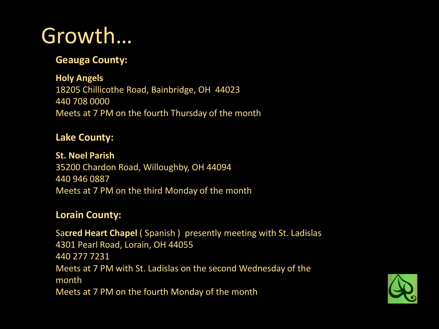### Growth…

#### **Geauga County:**

**Holy Angels** 18205 Chillicothe Road, Bainbridge, OH 44023 440 708 0000 Meets at 7 PM on the fourth Thursday of the month

#### **Lake County:**

**St. Noel Parish** 35200 Chardon Road, Willoughby, OH 44094 440 946 0887 Meets at 7 PM on the third Monday of the month

#### **Lorain County:**

Sa**cred Heart Chapel** ( Spanish ) presently meeting with St. Ladislas 4301 Pearl Road, Lorain, OH 44055 440 277 7231 Meets at 7 PM with St. Ladislas on the second Wednesday of the month Meets at 7 PM on the fourth Monday of the month

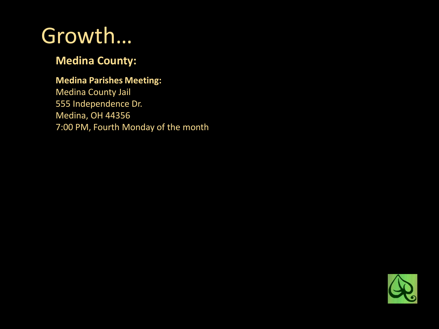### Growth…

#### **Medina County:**

#### **Medina Parishes Meeting:**

Medina County Jail 555 Independence Dr. Medina, OH 44356 7:00 PM, Fourth Monday of the month

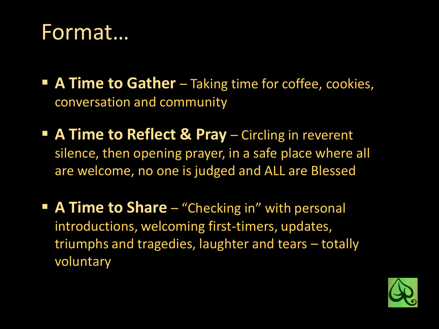### Format…

- **E** A Time to Gather Taking time for coffee, cookies, conversation and community
- **A Time to Reflect & Pray** Circling in reverent silence, then opening prayer, in a safe place where all are welcome, no one is judged and ALL are Blessed
- **A Time to Share** "Checking in" with personal introductions, welcoming first-timers, updates, triumphs and tragedies, laughter and tears – totally voluntary

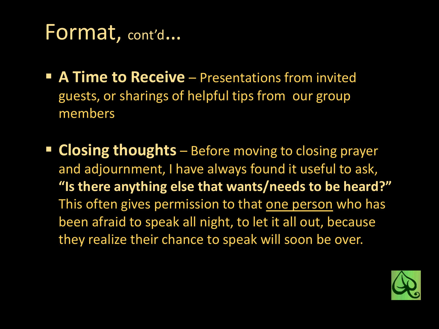### Format, cont'd…

- **E A Time to Receive** Presentations from invited guests, or sharings of helpful tips from our group members
- **EXPLOSING THOUGHTS** Before moving to closing prayer and adjournment, I have always found it useful to ask, **"Is there anything else that wants/needs to be heard?"**  This often gives permission to that one person who has been afraid to speak all night, to let it all out, because they realize their chance to speak will soon be over.

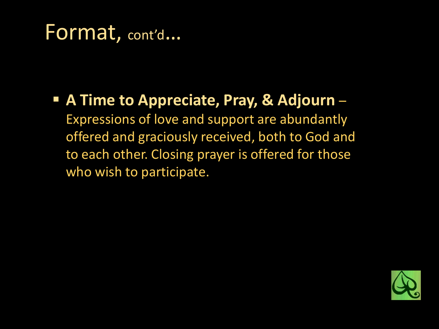### Format, cont'd…

#### ■ A Time to Appreciate, Pray, & Adjourn – Expressions of love and support are abundantly offered and graciously received, both to God and to each other. Closing prayer is offered for those who wish to participate.

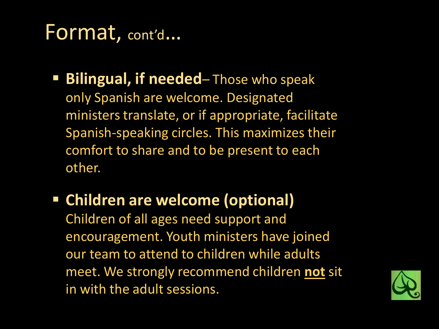### Format, cont'd…

- **Bilingual, if needed** Those who speak only Spanish are welcome. Designated ministers translate, or if appropriate, facilitate Spanish-speaking circles. This maximizes their comfort to share and to be present to each other.
- **Children are welcome (optional)** Children of all ages need support and encouragement. Youth ministers have joined our team to attend to children while adults meet. We strongly recommend children **not** sit in with the adult sessions.

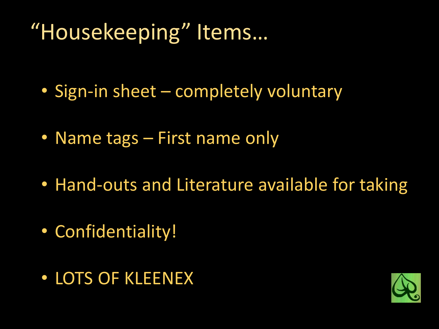## "Housekeeping" Items…

- Sign-in sheet completely voluntary
- Name tags First name only
- Hand-outs and Literature available for taking
- Confidentiality!
- LOTS OF KLEENEX

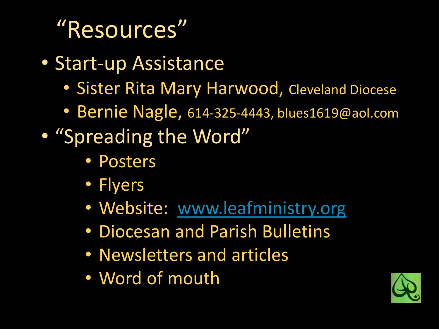# "Resources"

- Start-up Assistance
	- Sister Rita Mary Harwood, Cleveland Diocese
	- Bernie Nagle, 614-325-4443, blues1619@aol.com
- "Spreading the Word"
	- Posters
	- Flyers
	- Website: [www.leafministry.org](http://www.leafministry.org/)
	- Diocesan and Parish Bulletins
	- Newsletters and articles
	- Word of mouth

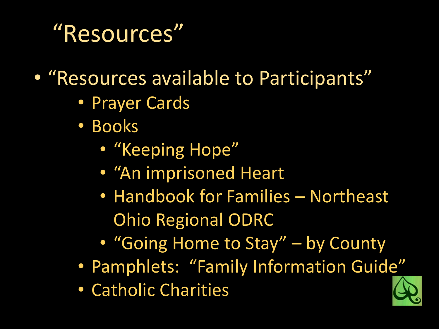## "Resources"

• "Resources available to Participants"

- Prayer Cards
- Books
	- "Keeping Hope"
	- "An imprisoned Heart
	- Handbook for Families Northeast Ohio Regional ODRC
	- "Going Home to Stay" by County
- Pamphlets: "Family Information Guide"
- Catholic Charities

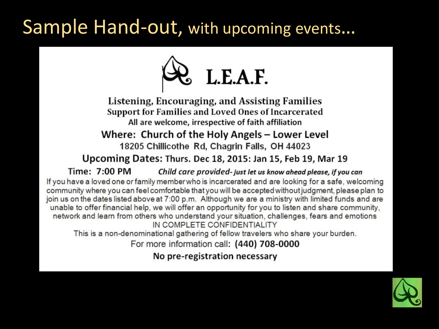### Sample Hand-out, with upcoming events…



Listening, Encouraging, and Assisting Families Support for Families and Loved Ones of Incarcerated All are welcome, irrespective of faith affiliation Where: Church of the Holy Angels – Lower Level 18205 Chillicothe Rd, Chagrin Falls, OH 44023

#### Upcoming Dates: Thurs. Dec 18, 2015: Jan 15, Feb 19, Mar 19

Time: 7:00 PM Child care provided-just let us know ahead please, if you can If you have a loved one or family member who is incarcerated and are looking for a safe, welcoming community where you can feel comfortable that you will be accepted without judgment, please plan to join us on the dates listed above at 7:00 p.m. Although we are a ministry with limited funds and are unable to offer financial help, we will offer an opportunity for you to listen and share community, network and learn from others who understand your situation, challenges, fears and emotions IN COMPLETE CONFIDENTIALITY

This is a non-denominational gathering of fellow travelers who share your burden.

For more information call: (440) 708-0000

No pre-registration necessary

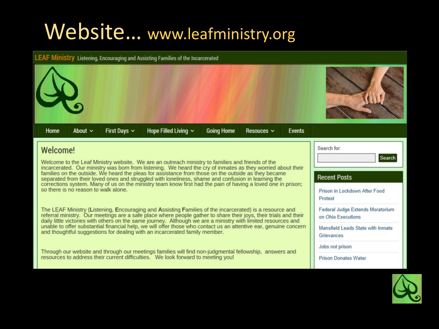### Website... www.leafministry.org



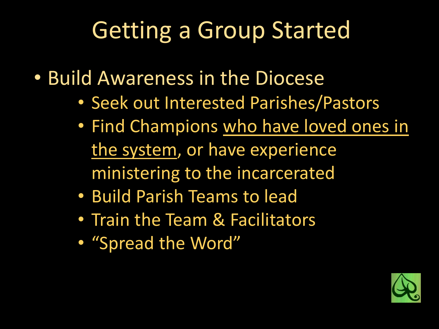# Getting a Group Started

- Build Awareness in the Diocese
	- Seek out Interested Parishes/Pastors
	- Find Champions who have loved ones in the system, or have experience ministering to the incarcerated
	- Build Parish Teams to lead
	- Train the Team & Facilitators
	- "Spread the Word"

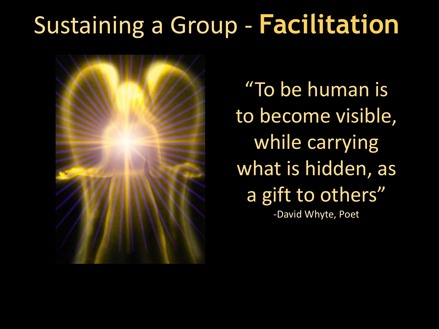# Sustaining a Group - **Facilitation**



"To be human is to become visible, while carrying what is hidden, as a gift to others" -David Whyte, Poet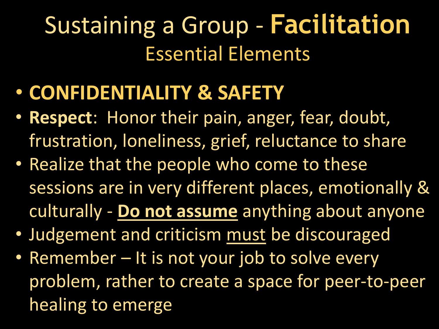- **CONFIDENTIALITY & SAFETY**
- **Respect**: Honor their pain, anger, fear, doubt, frustration, loneliness, grief, reluctance to share
- Realize that the people who come to these sessions are in very different places, emotionally & culturally - **Do not assume** anything about anyone
- Judgement and criticism must be discouraged
- Remember It is not your job to solve every problem, rather to create a space for peer-to-peer healing to emerge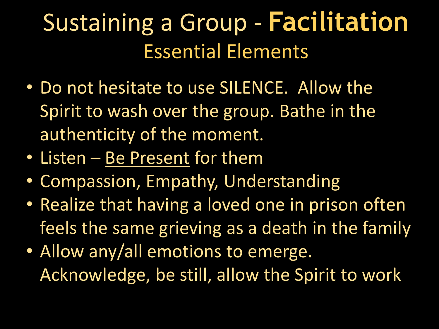- Do not hesitate to use SILENCE. Allow the Spirit to wash over the group. Bathe in the authenticity of the moment.
- Listen Be Present for them
- Compassion, Empathy, Understanding
- Realize that having a loved one in prison often feels the same grieving as a death in the family
- Allow any/all emotions to emerge. Acknowledge, be still, allow the Spirit to work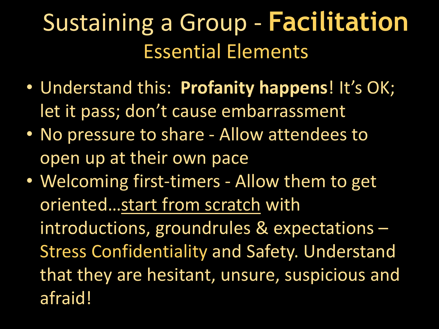- Understand this: **Profanity happens**! It's OK; let it pass; don't cause embarrassment
- No pressure to share Allow attendees to open up at their own pace
- Welcoming first-timers Allow them to get oriented…start from scratch with introductions, groundrules & expectations – Stress Confidentiality and Safety. Understand that they are hesitant, unsure, suspicious and afraid!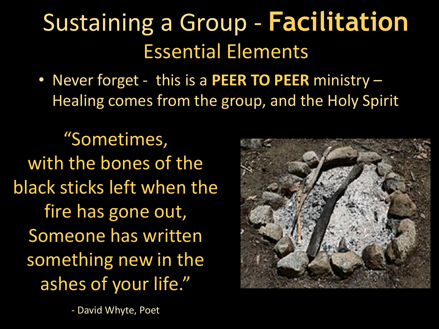• Never forget - this is a **PEER TO PEER** ministry – Healing comes from the group, and the Holy Spirit

"Sometimes, with the bones of the black sticks left when the fire has gone out, Someone has written something new in the ashes of your life."

- David Whyte, Poet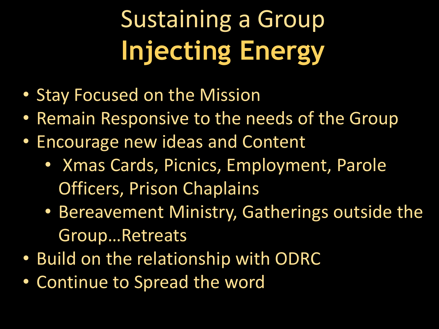# Sustaining a Group **Injecting Energy**

- Stay Focused on the Mission
- Remain Responsive to the needs of the Group
- Encourage new ideas and Content
	- Xmas Cards, Picnics, Employment, Parole Officers, Prison Chaplains
	- Bereavement Ministry, Gatherings outside the Group…Retreats
- Build on the relationship with ODRC
- Continue to Spread the word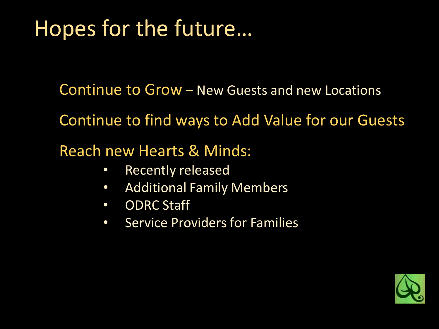## Hopes for the future…

Continue to Grow – New Guests and new Locations

Continue to find ways to Add Value for our Guests

Reach new Hearts & Minds:

- Recently released
- Additional Family Members
- ODRC Staff
- Service Providers for Families